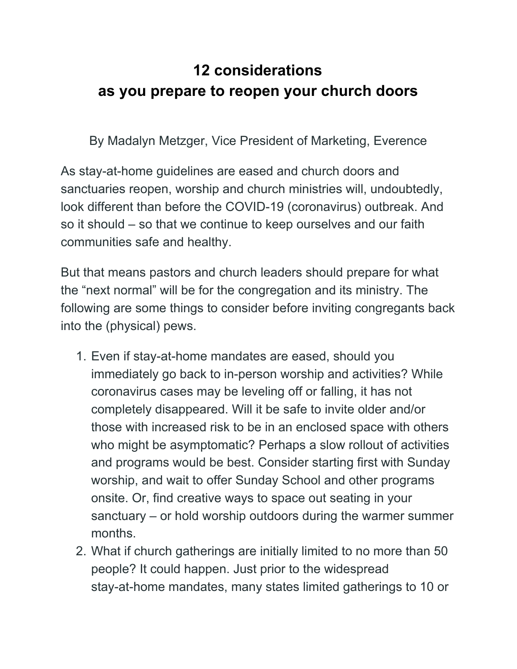## **12 considerations as you prepare to reopen your church doors**

By Madalyn Metzger, Vice President of Marketing, Everence

As stay-at-home guidelines are eased and church doors and sanctuaries reopen, worship and church ministries will, undoubtedly, look different than before the COVID-19 (coronavirus) outbreak. And so it should – so that we continue to keep ourselves and our faith communities safe and healthy.

But that means pastors and church leaders should prepare for what the "next normal" will be for the congregation and its ministry. The following are some things to consider before inviting congregants back into the (physical) pews.

- 1. Even if stay-at-home mandates are eased, should you immediately go back to in-person worship and activities? While coronavirus cases may be leveling off or falling, it has not completely disappeared. Will it be safe to invite older and/or those with increased risk to be in an enclosed space with others who might be asymptomatic? Perhaps a slow rollout of activities and programs would be best. Consider starting first with Sunday worship, and wait to offer Sunday School and other programs onsite. Or, find creative ways to space out seating in your sanctuary – or hold worship outdoors during the warmer summer months.
- 2. What if church gatherings are initially limited to no more than 50 people? It could happen. Just prior to the widespread stay-at-home mandates, many states limited gatherings to 10 or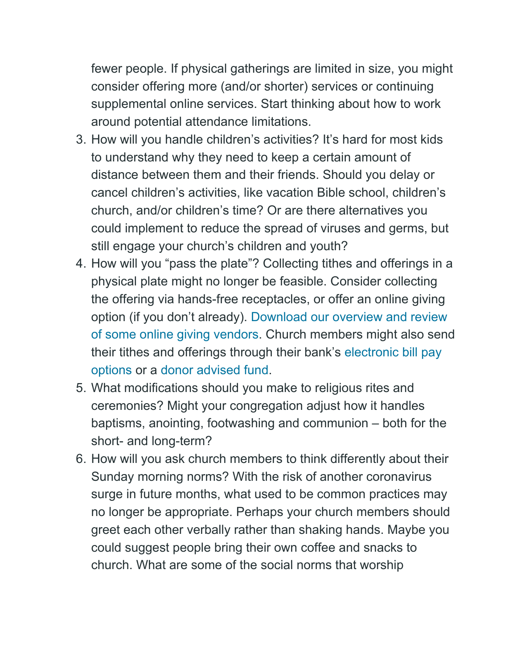fewer people. If physical gatherings are limited in size, you might consider offering more (and/or shorter) services or continuing supplemental online services. Start thinking about how to work around potential attendance limitations.

- 3. How will you handle children's activities? It's hard for most kids to understand why they need to keep a certain amount of distance between them and their friends. Should you delay or cancel children's activities, like vacation Bible school, children's church, and/or children's time? Or are there alternatives you could implement to reduce the spread of viruses and germs, but still engage your church's children and youth?
- 4. How will you "pass the plate"? Collecting tithes and offerings in a physical plate might no longer be feasible. Consider collecting the offering via hands-free receptacles, or offer an online giving option (if you don't already). [Download our overview and review](https://doclib.everence.com/WorkArea/linkit.aspx?LinkIdentifier=id&ItemID=25865) [of some online giving vendors.](https://doclib.everence.com/WorkArea/linkit.aspx?LinkIdentifier=id&ItemID=25865) Church members might also send their tithes and offerings through their bank's [electronic bill pay](https://www.everence.com/banking/online-and-mobile-banking) [options](https://www.everence.com/banking/online-and-mobile-banking) or a [donor advised fund](https://www.everence.com/financial-services/charitable-giving/donor-advised-fund).
- 5. What modifications should you make to religious rites and ceremonies? Might your congregation adjust how it handles baptisms, anointing, footwashing and communion – both for the short- and long-term?
- 6. How will you ask church members to think differently about their Sunday morning norms? With the risk of another coronavirus surge in future months, what used to be common practices may no longer be appropriate. Perhaps your church members should greet each other verbally rather than shaking hands. Maybe you could suggest people bring their own coffee and snacks to church. What are some of the social norms that worship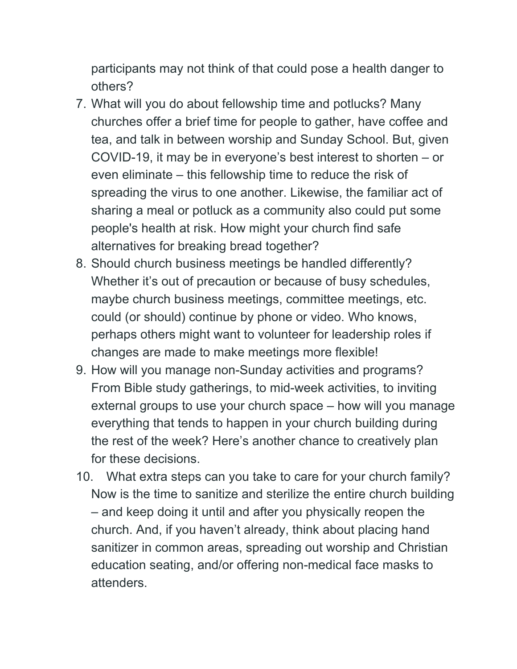participants may not think of that could pose a health danger to others?

- 7. What will you do about fellowship time and potlucks? Many churches offer a brief time for people to gather, have coffee and tea, and talk in between worship and Sunday School. But, given COVID-19, it may be in everyone's best interest to shorten – or even eliminate – this fellowship time to reduce the risk of spreading the virus to one another. Likewise, the familiar act of sharing a meal or potluck as a community also could put some people's health at risk. How might your church find safe alternatives for breaking bread together?
- 8. Should church business meetings be handled differently? Whether it's out of precaution or because of busy schedules, maybe church business meetings, committee meetings, etc. could (or should) continue by phone or video. Who knows, perhaps others might want to volunteer for leadership roles if changes are made to make meetings more flexible!
- 9. How will you manage non-Sunday activities and programs? From Bible study gatherings, to mid-week activities, to inviting external groups to use your church space – how will you manage everything that tends to happen in your church building during the rest of the week? Here's another chance to creatively plan for these decisions.
- 10. What extra steps can you take to care for your church family? Now is the time to sanitize and sterilize the entire church building – and keep doing it until and after you physically reopen the church. And, if you haven't already, think about placing hand sanitizer in common areas, spreading out worship and Christian education seating, and/or offering non-medical face masks to attenders.